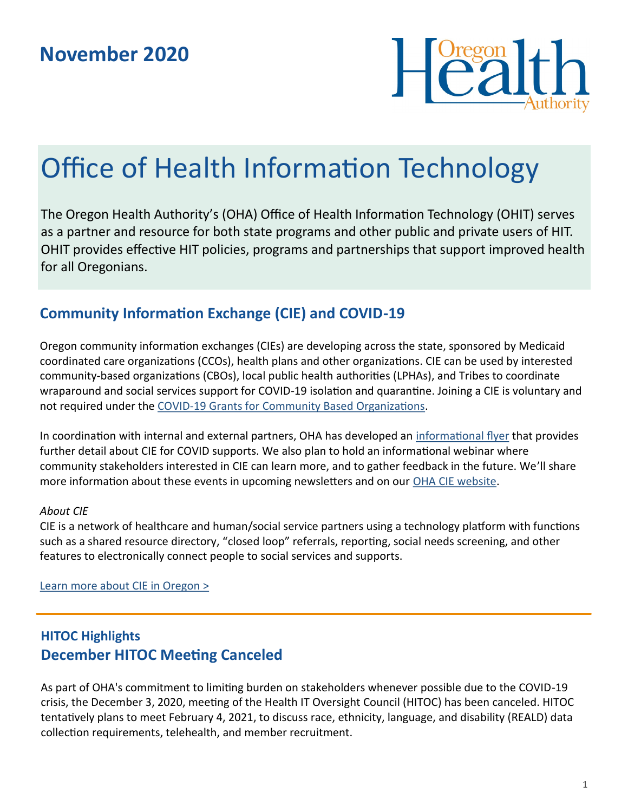

# Office of Health Information Technology

The Oregon Health Authority's (OHA) Office of Health Information Technology (OHIT) serves as a partner and resource for both state programs and other public and private users of HIT. OHIT provides effective HIT policies, programs and partnerships that support improved health for all Oregonians.

# **Community Information Exchange (CIE) and COVID-19**

Oregon community information exchanges (CIEs) are developing across the state, sponsored by Medicaid coordinated care organizations (CCOs), health plans and other organizations. CIE can be used by interested community-based organizations (CBOs), local public health authorities (LPHAs), and Tribes to coordinate wraparound and social services support for COVID-19 isolation and quarantine. Joining a CIE is voluntary and not required under the COVID-[19 Grants for Community Based Organizations.](https://www.oregon.gov/oha/PH/ABOUT/Pages/Community-Engagement.aspx)

In coordination with internal and external partners, OHA has developed an [informational flyer](https://www.oregon.gov/oha/HPA/OHIT/Documents/OHA_CIE_Flyer.pdf) that provides further detail about CIE for COVID supports. We also plan to hold an informational webinar where community stakeholders interested in CIE can learn more, and to gather feedback in the future. We'll share more information about these events in upcoming newsletters and on our [OHA CIE website.](https://www.oregon.gov/oha/HPA/OHIT/Pages/CIE-Overview.aspx)

#### *About CIE*

CIE is a network of healthcare and human/social service partners using a technology platform with functions such as a shared resource directory, "closed loop" referrals, reporting, social needs screening, and other features to electronically connect people to social services and supports.

[Learn more about CIE in Oregon >](https://www.oregon.gov/oha/HPA/OHIT/Pages/CIE-Overview.aspx)

## **HITOC Highlights December HITOC Meeting Canceled**

As part of OHA's commitment to limiting burden on stakeholders whenever possible due to the COVID-19 crisis, the December 3, 2020, meeting of the Health IT Oversight Council (HITOC) has been canceled. HITOC tentatively plans to meet February 4, 2021, to discuss race, ethnicity, language, and disability (REALD) data collection requirements, telehealth, and member recruitment.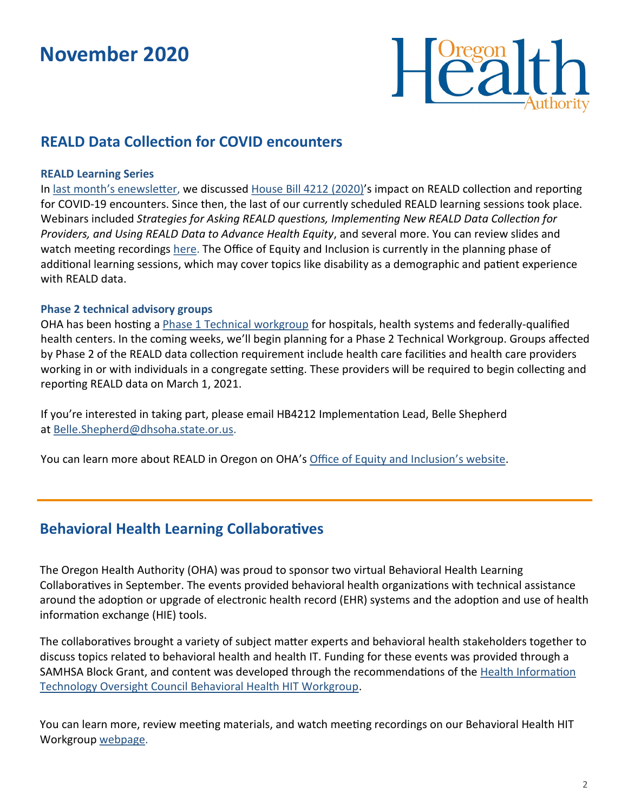# **November 2020**



### **REALD Data Collection for COVID encounters**

#### **REALD Learning Series**

In last month'[s enewsletter,](https://www.oregon.gov/oha/HPA/OHIT/Documents/October2020_eNewsletter.pdf) we discussed [House Bill 4212 \(2020\)](https://olis.oregonlegislature.gov/liz/2020S1/Downloads/MeasureDocument/HB4212/Enrolled)'s impact on REALD collection and reporting for COVID-19 encounters. Since then, the last of our currently scheduled REALD learning sessions took place. Webinars included *Strategies for Asking REALD questions, Implementing New REALD Data Collection for Providers, and Using REALD Data to Advance Health Equity*, and several more. You can review slides and watch meeting recordings [here.](https://www.oregon.gov/oha/HPA/dsi-tc/Documents/REALD%20Learning%20Series%20for%20CCOs.pdf) The Office of Equity and Inclusion is currently in the planning phase of additional learning sessions, which may cover topics like disability as a demographic and patient experience with REALD data.

#### **Phase 2 technical advisory groups**

OHA has been hosting a **[Phase 1 Technical workgroup](https://www.oregon.gov/oha/OEI/Pages/REALD-Workgroups.aspx)** for hospitals, health systems and federally-qualified health centers. In the coming weeks, we'll begin planning for a Phase 2 Technical Workgroup. Groups affected by Phase 2 of the REALD data collection requirement include health care facilities and health care providers working in or with individuals in a congregate setting. These providers will be required to begin collecting and reporting REALD data on March 1, 2021.

If you're interested in taking part, please email HB4212 Implementation Lead, Belle Shepherd at [Belle.Shepherd@dhsoha.state.or.us.](mailto:Belle.Shepherd@dhsoha.state.or.us?subject=Phase%202%20Technical%20Advisory%20Groups)

You can learn more about REALD in Oregon on OHA's [Office of Equity and Inclusion](https://www.oregon.gov/oha/OEI/Pages/REALD.aspx)'s website.

### **Behavioral Health Learning Collaboratives**

The Oregon Health Authority (OHA) was proud to sponsor two virtual Behavioral Health Learning Collaboratives in September. The events provided behavioral health organizations with technical assistance around the adoption or upgrade of electronic health record (EHR) systems and the adoption and use of health information exchange (HIE) tools.

The collaboratives brought a variety of subject matter experts and behavioral health stakeholders together to discuss topics related to behavioral health and health IT. Funding for these events was provided through a SAMHSA Block Grant, and content was developed through the recommendations of the [Health Information](https://www.oregon.gov/oha/HPA/OHIT-HITOC/Pages/Behavioral-Health-HIT.aspx)  [Technology Oversight Council Behavioral Health HIT Workgroup.](https://www.oregon.gov/oha/HPA/OHIT-HITOC/Pages/Behavioral-Health-HIT.aspx)

You can learn more, review meeting materials, and watch meeting recordings on our Behavioral Health HIT Workgroup [webpage.](https://www.oregon.gov/oha/HPA/OHIT-HITOC/Pages/Behavioral-Health-HIT.aspx)